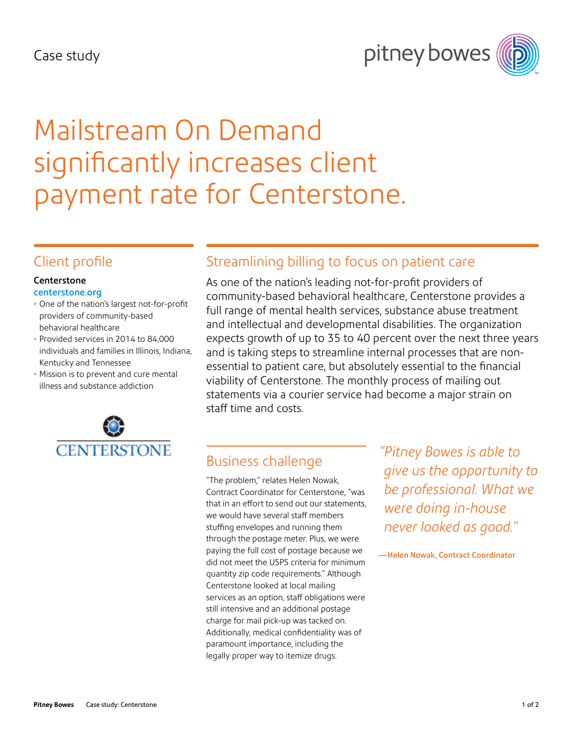#### Case study





# Mailstream On Demand significantly increases client payment rate for Centerstone.

#### Client profile

#### **Centerstone** [centerstone.org](http://centerstone.org/)

- One of the nation's largest not-for-profit providers of community-based behavioral healthcare
- Provided services in 2014 to 84,000 individuals and families in Illinois, Indiana, Kentucky and Tennessee
- Mission is to prevent and cure mental illness and substance addiction



### Streamlining billing to focus on patient care

As one of the nation's leading not-for-profit providers of community-based behavioral healthcare, Centerstone provides a full range of mental health services, substance abuse treatment and intellectual and developmental disabilities. The organization expects growth of up to 35 to 40 percent over the next three years and is taking steps to streamline internal processes that are nonessential to patient care, but absolutely essential to the financial viability of Centerstone. The monthly process of mailing out statements via a courier service had become a major strain on staff time and costs.

# Business challenge

"The problem," relates Helen Nowak, Contract Coordinator for Centerstone, "was that in an effort to send out our statements, we would have several staff members stuffing envelopes and running them through the postage meter. Plus, we were paying the full cost of postage because we did not meet the USPS criteria for minimum quantity zip code requirements." Although Centerstone looked at local mailing services as an option, staff obligations were still intensive and an additional postage charge for mail pick-up was tacked on. Additionally, medical confidentiality was of paramount importance, including the legally proper way to itemize drugs.

*"Pitney Bowes is able to give us the opportunity to be professional. What we were doing in-house never looked as good."* 

—Helen Nowak, Contract Coordinator